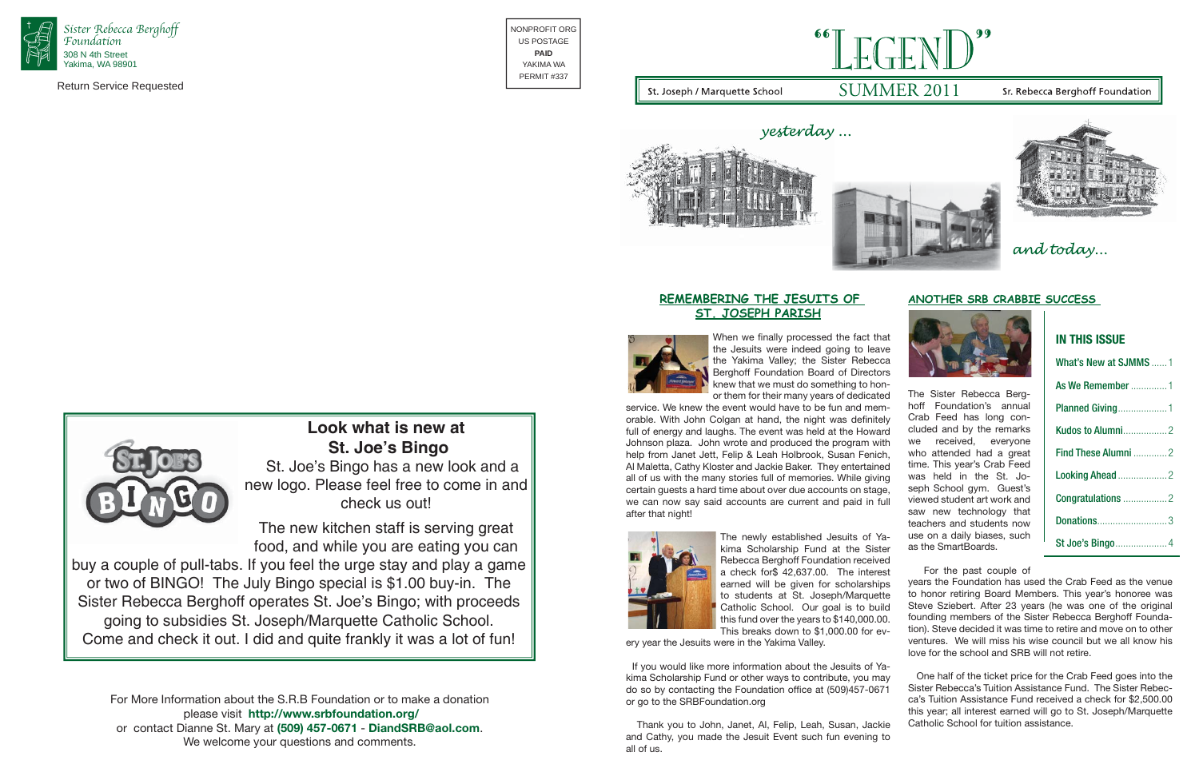## **ANOTHER SRB CRABBIE SUCCESS**



The Sister Rebecca Berghoff Foundation's annual Crab Feed has long concluded and by the remarks we received, everyone who attended had a great time. This year's Crab Feed was held in the St. Joseph School gym. Guest's viewed student art work and saw new technology that teachers and students now use on a daily biases, such as the SmartBoards.

# What's New at SJMMS ......1 As We Remember ..............1Planned Giving ...................1 Kudos to Alumni .................2Find These Alumni .............2Looking Ahead ...................2 Congratulations .................2 Donations ......................

St Joe's Bingo......

 For the past couple of years the Foundation has used the Crab Feed as the venue to honor retiring Board Members. This year's honoree was Steve Sziebert. After 23 years (he was one of the original founding members of the Sister Rebecca Berghoff Foundation). Steve decided it was time to retire and move on to other ventures. We will miss his wise council but we all know his love for the school and SRB will not retire.

## **REMEMBERING THE JESUITS OF ST. JOSEPH PARISH**



When we finally processed the fact that

the Jesuits were indeed going to leave the Yakima Valley; the Sister Rebecca Berghoff Foundation Board of Directors knew that we must do something to honor them for their many years of dedicated service. We knew the event would have to be fun and memorable. With John Colgan at hand, the night was definitely full of energy and laughs. The event was held at the Howard Johnson plaza. John wrote and produced the program with help from Janet Jett, Felip & Leah Holbrook, Susan Fenich, Al Maletta, Cathy Kloster and Jackie Baker. They entertained all of us with the many stories full of memories. While giving certain guests a hard time about over due accounts on stage, we can now say said accounts are current and paid in full after that night! The newly established Jesuits of Ya-



 One half of the ticket price for the Crab Feed goes into the Sister Rebecca's Tuition Assistance Fund. The Sister Rebecca's Tuition Assistance Fund received a check for \$2,500.00 this year; all interest earned will go to St. Joseph/Marquette Catholic School for tuition assistance. If you would like more information about the Jesuits of Yakima Scholarship Fund or other ways to contribute, you may do so by contacting the Foundation office at (509)457-0671 or go to the SRBFoundation.org

kima Scholarship Fund at the Sister Rebecca Berghoff Foundation received a check for\$ 42,637.00. The interest earned will be given for scholarships to students at St. Joseph/Marquette Catholic School. Our goal is to build this fund over the years to \$140,000.00. This breaks down to \$1,000.00 for ev-

ery year the Jesuits were in the Yakima Valley.

 Thank you to John, Janet, Al, Felip, Leah, Susan, Jackie and Cathy, you made the Jesuit Event such fun evening to all of us.



**IN THIS ISSUE**

and today...



Return Service Requested

NONPROFIT ORGUS POSTAGE**PAID**YAKIMA WAPERMIT #337

For More Information about the S.R.B Foundation or to make a donation please visit **http://www.srbfoundation.org/** or contact Dianne St. Mary at **(509) 457-0671** - **DiandSRB@aol.com**. We welcome your questions and comments.

## Sr. Rebecca Berghoff Foundation







yesterday...

# **Look what is new at St. Joe's Bingo**

 St. Joe's Bingo has a new look and a new logo. Please feel free to come in and check us out!

The new kitchen staff is serving great food, and while you are eating you can

buy a couple of pull-tabs. If you feel the urge stay and play a game or two of BINGO! The July Bingo special is \$1.00 buy-in. The Sister Rebecca Berghoff operates St. Joe's Bingo; with proceeds going to subsidies St. Joseph/Marquette Catholic School. Come and check it out. I did and quite frankly it was a lot of fun!